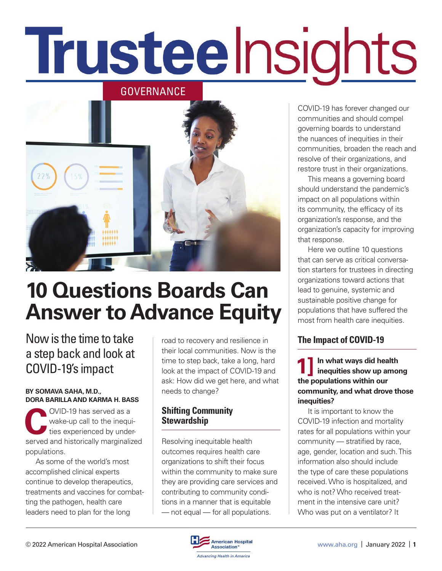# Trusteelnsights

GOVERNANCE



# **10 Questions Boards Can Answer to Advance Equity**

### Now is the time to take a step back and look at COVID-19's impact

#### **BY SOMAVA SAHA, M.D., DORA BARILLA AND KARMA H. BASS**

OVID-19 has served as a<br>wake-up call to the inequi<br>ties experienced by unde wake-up call to the inequities experienced by underserved and historically marginalized populations.

As some of the world's most accomplished clinical experts continue to develop therapeutics, treatments and vaccines for combatting the pathogen, health care leaders need to plan for the long

road to recovery and resilience in their local communities. Now is the time to step back, take a long, hard look at the impact of COVID-19 and ask: How did we get here, and what needs to change?

#### **Shifting Community Stewardship**

Resolving inequitable health outcomes requires health care organizations to shift their focus within the community to make sure they are providing care services and contributing to community conditions in a manner that is equitable — not equal — for all populations.

COVID-19 has forever changed our communities and should compel governing boards to understand the nuances of inequities in their communities, broaden the reach and resolve of their organizations, and restore trust in their organizations.

This means a governing board should understand the pandemic's impact on all populations within its community, the efficacy of its organization's response, and the organization's capacity for improving that response.

Here we outline 10 questions that can serve as critical conversation starters for trustees in directing organizations toward actions that lead to genuine, systemic and sustainable positive change for populations that have suffered the most from health care inequities.

#### **The Impact of COVID-19**

**1] In what ways did health inequities show up among the populations within our community, and what drove those inequities?**

It is important to know the COVID-19 infection and mortality rates for all populations within your community — stratified by race, age, gender, location and such. This information also should include the type of care these populations received. Who is hospitalized, and who is not? Who received treatment in the intensive care unit? Who was put on a ventilator? It

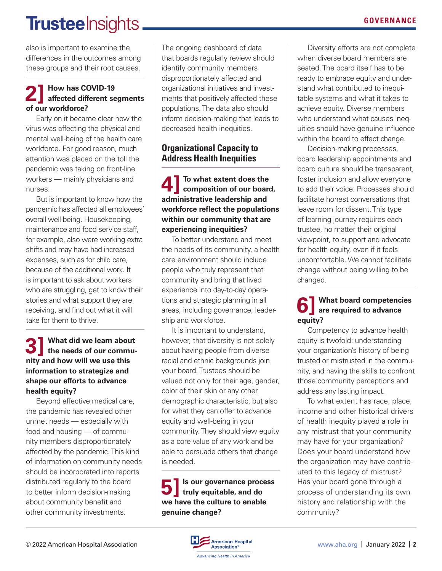# **Trustee** Insights.

also is important to examine the differences in the outcomes among these groups and their root causes.

## **2] How has COVID-19 affected different segments of our workforce?**

Early on it became clear how the virus was affecting the physical and mental well-being of the health care workforce. For good reason, much attention was placed on the toll the pandemic was taking on front-line workers — mainly physicians and nurses.

But is important to know how the pandemic has affected all employees' overall well-being. Housekeeping, maintenance and food service staff, for example, also were working extra shifts and may have had increased expenses, such as for child care, because of the additional work. It is important to ask about workers who are struggling, get to know their stories and what support they are receiving, and find out what it will take for them to thrive.

#### **3] What did we learn about the needs of our community and how will we use this information to strategize and shape our efforts to advance health equity?**

Beyond effective medical care, the pandemic has revealed other unmet needs — especially with food and housing — of community members disproportionately affected by the pandemic. This kind of information on community needs should be incorporated into reports distributed regularly to the board to better inform decision-making about community benefit and other community investments.

The ongoing dashboard of data that boards regularly review should identify community members disproportionately affected and organizational initiatives and investments that positively affected these populations. The data also should inform decision-making that leads to decreased health inequities.

#### **Organizational Capacity to Address Health Inequities**

**4] To what extent does the composition of our board, administrative leadership and workforce reflect the populations within our community that are experiencing inequities?**

To better understand and meet the needs of its community, a health care environment should include people who truly represent that community and bring that lived experience into day-to-day operations and strategic planning in all areas, including governance, leadership and workforce.

It is important to understand, however, that diversity is not solely about having people from diverse racial and ethnic backgrounds join your board. Trustees should be valued not only for their age, gender, color of their skin or any other demographic characteristic, but also for what they can offer to advance equity and well-being in your community. They should view equity as a core value of any work and be able to persuade others that change is needed.

**5]Is our governance process truly equitable, and do we have the culture to enable genuine change?**

Diversity efforts are not complete when diverse board members are seated. The board itself has to be ready to embrace equity and understand what contributed to inequitable systems and what it takes to achieve equity. Diverse members who understand what causes inequities should have genuine influence within the board to effect change.

Decision-making processes, board leadership appointments and board culture should be transparent, foster inclusion and allow everyone to add their voice. Processes should facilitate honest conversations that leave room for dissent. This type of learning journey requires each trustee, no matter their original viewpoint, to support and advocate for health equity, even if it feels uncomfortable. We cannot facilitate change without being willing to be changed.

## **6] What board competencies are required to advance equity?**

Competency to advance health equity is twofold: understanding your organization's history of being trusted or mistrusted in the community, and having the skills to confront those community perceptions and address any lasting impact.

To what extent has race, place, income and other historical drivers of health inequity played a role in any mistrust that your community may have for your organization? Does your board understand how the organization may have contributed to this legacy of mistrust? Has your board gone through a process of understanding its own history and relationship with the community?

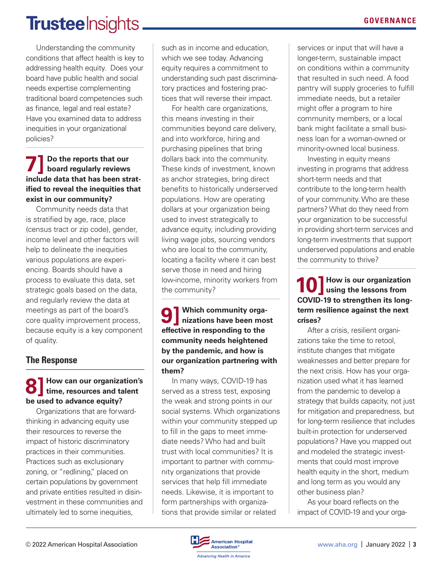## **Trustee** Insights

Understanding the community conditions that affect health is key to addressing health equity. Does your board have public health and social needs expertise complementing traditional board competencies such as finance, legal and real estate? Have you examined data to address inequities in your organizational policies?

#### **7] Do the reports that our board regularly reviews include data that has been stratified to reveal the inequities that exist in our community?**

Community needs data that is stratified by age, race, place (census tract or zip code), gender, income level and other factors will help to delineate the inequities various populations are experiencing. Boards should have a process to evaluate this data, set strategic goals based on the data, and regularly review the data at meetings as part of the board's core quality improvement process, because equity is a key component of quality.

#### **The Response**

#### **8] How can our organization's time, resources and talent be used to advance equity?**

Organizations that are forwardthinking in advancing equity use their resources to reverse the impact of historic discriminatory practices in their communities. Practices such as exclusionary zoning, or "redlining," placed on certain populations by government and private entities resulted in disinvestment in these communities and ultimately led to some inequities,

such as in income and education, which we see today. Advancing equity requires a commitment to understanding such past discriminatory practices and fostering practices that will reverse their impact.

For health care organizations, this means investing in their communities beyond care delivery, and into workforce, hiring and purchasing pipelines that bring dollars back into the community. These kinds of investment, known as anchor strategies, bring direct benefits to historically underserved populations. How are operating dollars at your organization being used to invest strategically to advance equity, including providing living wage jobs, sourcing vendors who are local to the community, locating a facility where it can best serve those in need and hiring low-income, minority workers from the community?

**9] Which community orga-nizations have been most effective in responding to the community needs heightened by the pandemic, and how is our organization partnering with them?**

In many ways, COVID-19 has served as a stress test, exposing the weak and strong points in our social systems. Which organizations within your community stepped up to fill in the gaps to meet immediate needs? Who had and built trust with local communities? It is important to partner with community organizations that provide services that help fill immediate needs. Likewise, it is important to form partnerships with organizations that provide similar or related

services or input that will have a longer-term, sustainable impact on conditions within a community that resulted in such need. A food pantry will supply groceries to fulfill immediate needs, but a retailer might offer a program to hire community members, or a local bank might facilitate a small business loan for a woman-owned or minority-owned local business.

Investing in equity means investing in programs that address short-term needs and that contribute to the long-term health of your community. Who are these partners? What do they need from your organization to be successful in providing short-term services and long-term investments that support underserved populations and enable the community to thrive?

**10] How is our organization using the lessons from COVID-19 to strengthen its longterm resilience against the next crises?**

After a crisis, resilient organizations take the time to retool, institute changes that mitigate weaknesses and better prepare for the next crisis. How has your organization used what it has learned from the pandemic to develop a strategy that builds capacity, not just for mitigation and preparedness, but for long-term resilience that includes built-in protection for underserved populations? Have you mapped out and modeled the strategic investments that could most improve health equity in the short, medium and long term as you would any other business plan?

As your board reflects on the impact of COVID-19 and your orga-